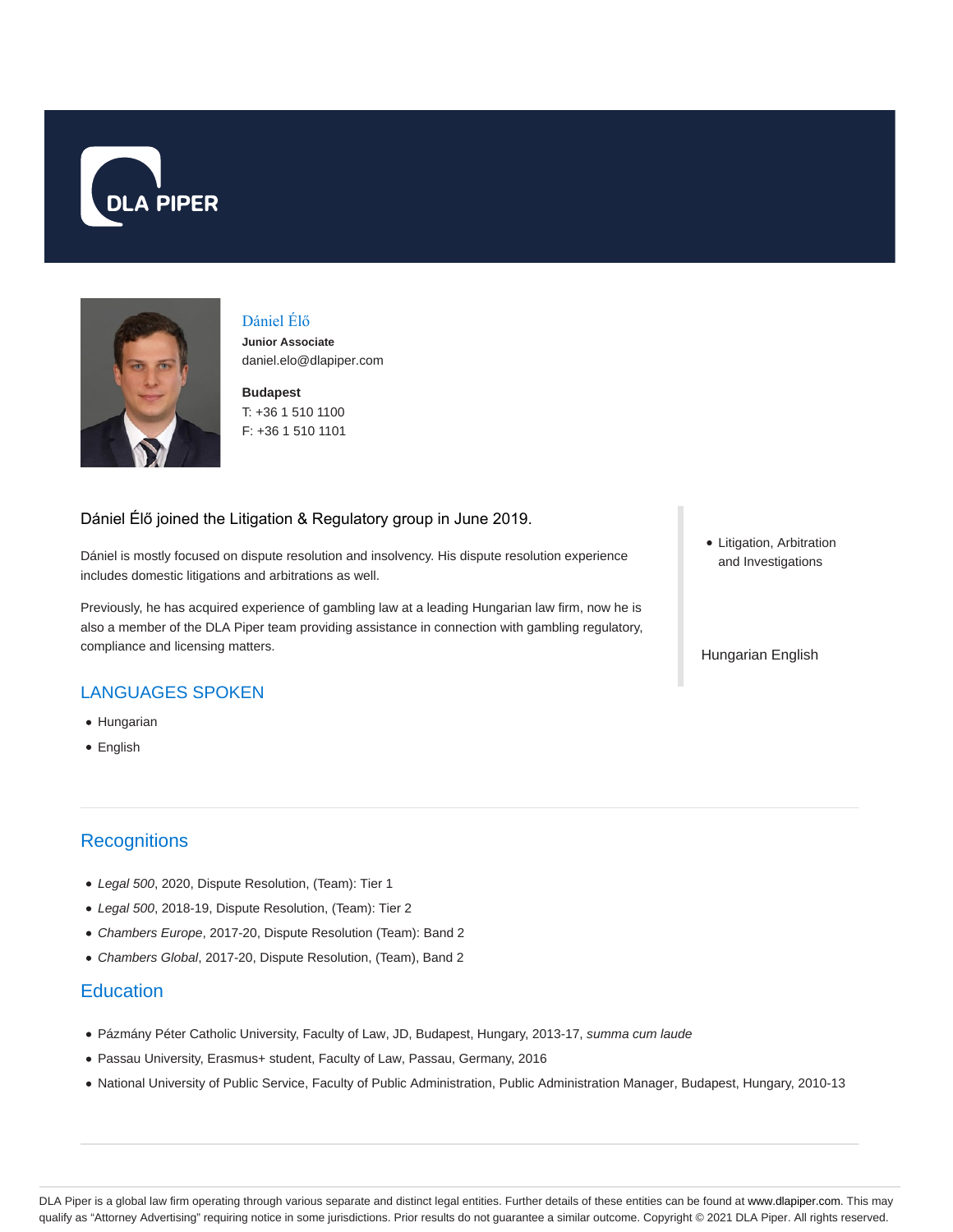



Dániel Élő

**Junior Associate** daniel.elo@dlapiper.com

**Budapest** T: +36 1 510 1100 F: +36 1 510 1101

#### Dániel Élő joined the Litigation & Regulatory group in June 2019.

Dániel is mostly focused on dispute resolution and insolvency. His dispute resolution experience includes domestic litigations and arbitrations as well.

Previously, he has acquired experience of gambling law at a leading Hungarian law firm, now he is also a member of the DLA Piper team providing assistance in connection with gambling regulatory, compliance and licensing matters.

# LANGUAGES SPOKEN

- Hungarian
- English

# **Recognitions**

- Legal 500, 2020, Dispute Resolution, (Team): Tier 1
- Legal 500, 2018-19, Dispute Resolution, (Team): Tier 2
- Chambers Europe, 2017-20, Dispute Resolution (Team): Band 2
- Chambers Global, 2017-20, Dispute Resolution, (Team), Band 2

### **Education**

- Pázmány Péter Catholic University, Faculty of Law, JD, Budapest, Hungary, 2013-17, summa cum laude
- Passau University, Erasmus+ student, Faculty of Law, Passau, Germany, 2016
- National University of Public Service, Faculty of Public Administration, Public Administration Manager, Budapest, Hungary, 2010-13

Litigation, Arbitration and Investigations

Hungarian English

DLA Piper is a global law firm operating through various separate and distinct legal entities. Further details of these entities can be found at www.dlapiper.com. This may qualify as "Attorney Advertising" requiring notice in some jurisdictions. Prior results do not guarantee a similar outcome. Copyright @ 2021 DLA Piper. All rights reserved.